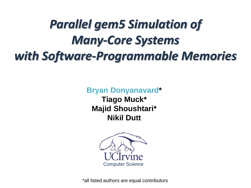# *Parallel gem5 Simulation of Many-Core Systems with Software-Programmable Memories*

**Bryan Donyanavard\* Tiago Muck\* Majid Shoushtari\* Nikil Dutt**



\*all listed authors are equal contributors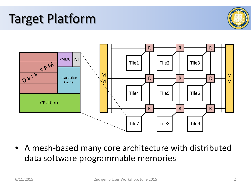### Target Platform





• A mesh-based many core architecture with distributed data software programmable memories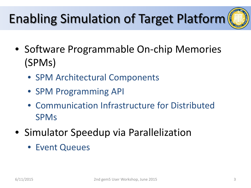# Enabling Simulation of Target Platform

- 
- Software Programmable On-chip Memories (SPMs)
	- SPM Architectural Components
	- SPM Programming API
	- Communication Infrastructure for Distributed SPMs
- Simulator Speedup via Parallelization
	- Event Queues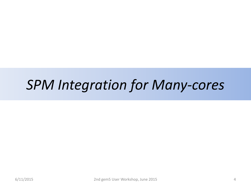# *SPM Integration for Many-cores*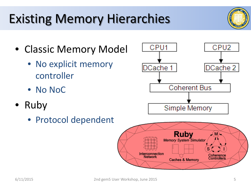### Existing Memory Hierarchies

- Classic Memory Model
	- No explicit memory controller
	- No NoC
- Ruby
	- Protocol dependent

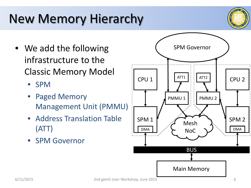

- We add the following infrastructure to the Classic Memory Model
	- SPM
	- **Paged Memory** Management Unit (PMMU)
	- Address Translation Table (ATT)
	- SPM Governor

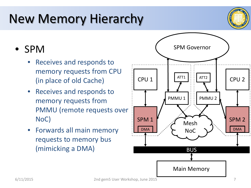

### • SPM

- Receives and responds to memory requests from CPU (in place of old Cache)
- Receives and responds to memory requests from PMMU (remote requests over NoC)
- Forwards all main memory requests to memory bus (mimicking a DMA)

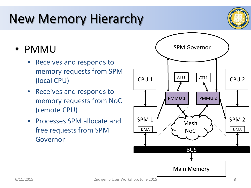

### • PMMU

- Receives and responds to memory requests from SPM (local CPU)
- Receives and responds to memory requests from NoC (remote CPU)
- Processes SPM allocate and free requests from SPM Governor

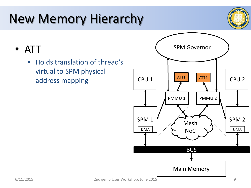

• ATT

• Holds translation of thread's virtual to SPM physical address mapping and CPU 1

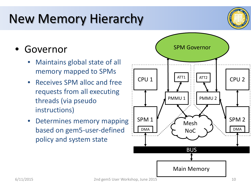

### • Governor

- Maintains global state of all memory mapped to SPMs
- Receives SPM alloc and free requests from all executing threads (via pseudo instructions)
- Determines memory mapping based on gem5-user-defined policy and system state

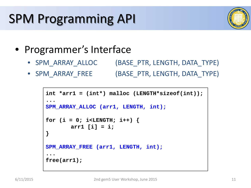# SPM Programming API



- Programmer's Interface
	- SPM\_ARRAY\_ALLOC (BASE\_PTR, LENGTH, DATA\_TYPE)
	- SPM\_ARRAY\_FREE (BASE\_PTR, LENGTH, DATA\_TYPE)

```
int *arr1 = (int*) malloc (LENGTH*sizeof(int));
...
SPM_ARRAY_ALLOC (arr1, LENGTH, int);
for (i = 0; i < LENGTH; i++) {
       arr1 [i] = i;
}
SPM ARRAY FREE (arr1, LENGTH, int);
...
free(arr1);
```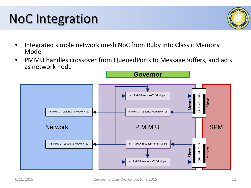- Integrated simple network mesh NoC from Ruby into Classic Memory Model
- PMMU handles crossover from QueuedPorts to MessageBuffers, and acts as network node



# NoC Integration

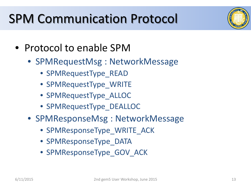### SPM Communication Protocol



- Protocol to enable SPM
	- SPMRequestMsg : NetworkMessage
		- SPMRequestType\_READ
		- SPMRequestType\_WRITE
		- SPMRequestType\_ALLOC
		- SPMRequestType DEALLOC
	- SPMResponseMsg : NetworkMessage
		- SPMResponseType\_WRITE\_ACK
		- SPMResponseType\_DATA
		- SPMResponseType\_GOV\_ACK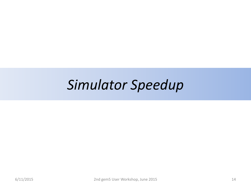## *Simulator Speedup*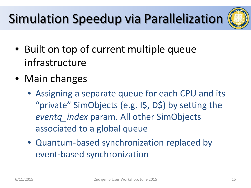# Simulation Speedup via Parallelization



- Built on top of current multiple queue infrastructure
- Main changes
	- Assigning a separate queue for each CPU and its "private" SimObjects (e.g. I\$, D\$) by setting the *eventq\_index* param. All other SimObjects associated to a global queue
	- Quantum-based synchronization replaced by event-based synchronization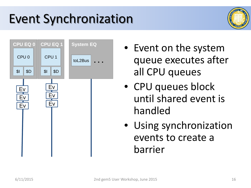## Event Synchronization





- Event on the system queue executes after all CPU queues
- CPU queues block until shared event is handled
- Using synchronization events to create a barrier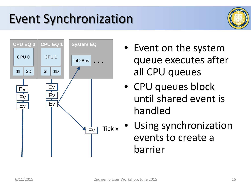# Event Synchronization





- Event on the system queue executes after all CPU queues
- CPU queues block until shared event is handled
- Using synchronization events to create a barrier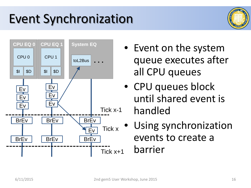## Event Synchronization





- Event on the system queue executes after all CPU queues
- CPU queues block until shared event is handled
- Using synchronization events to create a barrier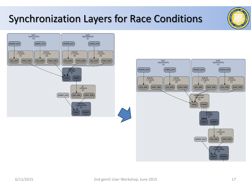### Synchronization Layers for Race Conditions





**CENTY** 

**UNVIN**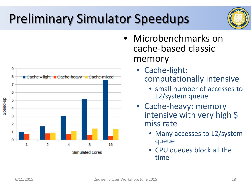# Preliminary Simulator Speedups





- Microbenchmarks on cache-based classic memory
	- Cache-light: computationally intensive
		- small number of accesses to L2/system queue
	- Cache-heavy: memory intensive with very high \$ miss rate
		- Many accesses to L2/system queue
		- CPU queues block all the time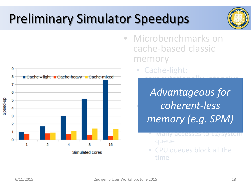## Preliminary Simulator Speedups



- Microbenchmarks on cache-based classic memory
	- Cache-light: computationally intensive

Advantageous for Advantageous for *coherent-less* memory (e a SDNA) michion *memory (e.g. SPM)*

- Many accesses to L2/system queue
- CPU queues block all the time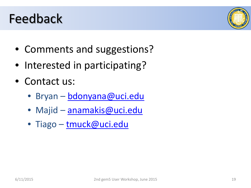### Feedback

- Comments and suggestions?
- Interested in participating?
- Contact us:
	- Bryan [bdonyana@uci.edu](mailto:bdonyana@uci.edu)
	- Majid [anamakis@uci.edu](mailto:anamakis@uci.edu)
	- Tiago [tmuck@uci.edu](mailto:tmuck@uci.edu)